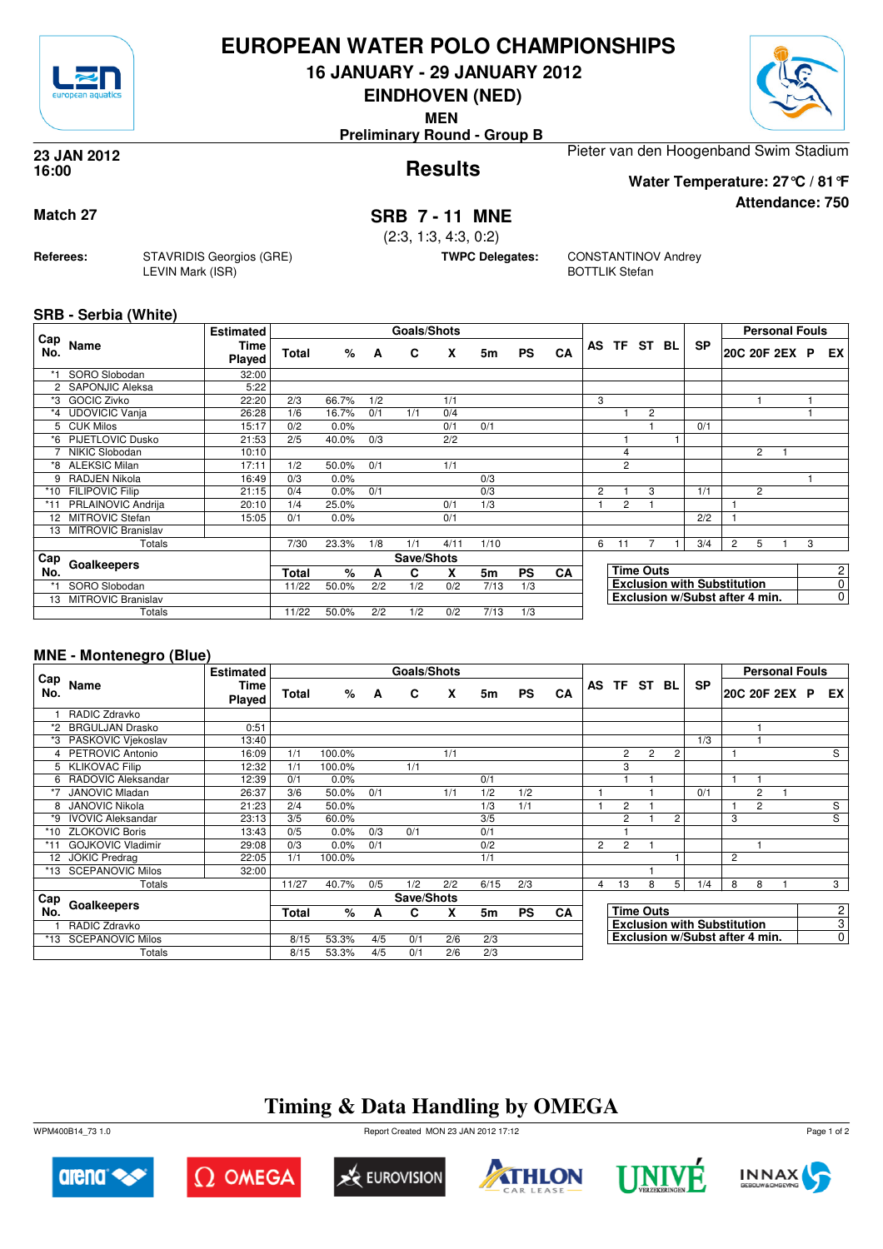

## **EUROPEAN WATER POLO CHAMPIONSHIPS**

**16 JANUARY - 29 JANUARY 2012**

**EINDHOVEN (NED)**

**MEN**

**Preliminary Round - Group B**

#### **Results 23 JAN 2012 16:00**

Pieter van den Hoogenband Swim Stadium

## **Match 27 SRB 7 - 11 MNE**

(2:3, 1:3, 4:3, 0:2)

**TWPC Delegates:** CONSTANTINOV Andrey BOTTLIK Stefan

## **SRB - Serbia (White)**

**Referees:** STAVRIDIS Georgios (GRE)

LEVIN Mark (ISR)

| Cap                  |                           | <b>Estimated</b> |              |       |     | <b>Goals/Shots</b> |      |      |           |           |   |                |                  |    |                                    |                | <b>Personal Fouls</b> |   |                |
|----------------------|---------------------------|------------------|--------------|-------|-----|--------------------|------|------|-----------|-----------|---|----------------|------------------|----|------------------------------------|----------------|-----------------------|---|----------------|
| No.                  | Name                      | Time<br>Played   | <b>Total</b> | %     | A   | C                  | X    | 5m   | <b>PS</b> | CA        |   | AS TF ST       |                  | BL | <b>SP</b>                          |                | 20C 20F 2EX P         |   | EX             |
|                      | SORO Slobodan             | 32:00            |              |       |     |                    |      |      |           |           |   |                |                  |    |                                    |                |                       |   |                |
| $\mathbf{2}^{\circ}$ | SAPONJIC Aleksa           | 5:22             |              |       |     |                    |      |      |           |           |   |                |                  |    |                                    |                |                       |   |                |
| *3                   | <b>GOCIC Zivko</b>        | 22:20            | 2/3          | 66.7% | 1/2 |                    | 1/1  |      |           |           | 3 |                |                  |    |                                    |                |                       |   |                |
| $*_{4}$              | <b>UDOVICIC Vanja</b>     | 26:28            | 1/6          | 16.7% | 0/1 | 1/1                | 0/4  |      |           |           |   |                | $\overline{2}$   |    |                                    |                |                       |   |                |
|                      | 5 CUK Milos               | 15:17            | 0/2          | 0.0%  |     |                    | 0/1  | 0/1  |           |           |   |                |                  |    | 0/1                                |                |                       |   |                |
| *6                   | <b>PIJETLOVIC Dusko</b>   | 21:53            | 2/5          | 40.0% | 0/3 |                    | 2/2  |      |           |           |   |                |                  |    |                                    |                |                       |   |                |
|                      | NIKIC Slobodan            | 10:10            |              |       |     |                    |      |      |           |           |   | $\overline{4}$ |                  |    |                                    |                | 2                     |   |                |
| *8                   | <b>ALEKSIC Milan</b>      | 17:11            | 1/2          | 50.0% | 0/1 |                    | 1/1  |      |           |           |   | $\overline{2}$ |                  |    |                                    |                |                       |   |                |
| 9                    | RADJEN Nikola             | 16:49            | 0/3          | 0.0%  |     |                    |      | 0/3  |           |           |   |                |                  |    |                                    |                |                       |   |                |
|                      | *10 FILIPOVIC Filip       | 21:15            | 0/4          | 0.0%  | 0/1 |                    |      | 0/3  |           |           | 2 |                | 3                |    | 1/1                                |                | 2                     |   |                |
| *11                  | PRLAINOVIC Andrija        | 20:10            | 1/4          | 25.0% |     |                    | 0/1  | 1/3  |           |           |   | $\overline{2}$ |                  |    |                                    |                |                       |   |                |
| 12 <sup>2</sup>      | <b>MITROVIC Stefan</b>    | 15:05            | 0/1          | 0.0%  |     |                    | 0/1  |      |           |           |   |                |                  |    | 2/2                                |                |                       |   |                |
| 13                   | MITROVIC Branislav        |                  |              |       |     |                    |      |      |           |           |   |                |                  |    |                                    |                |                       |   |                |
|                      | Totals                    |                  | 7/30         | 23.3% | 1/8 | 1/1                | 4/11 | 1/10 |           |           | 6 | 11             |                  |    | 3/4                                | $\overline{c}$ | 5                     | 3 |                |
| Cap                  |                           |                  |              |       |     | Save/Shots         |      |      |           |           |   |                |                  |    |                                    |                |                       |   |                |
| No.                  | Goalkeepers               |                  | <b>Total</b> | $\%$  | A   | C                  | X    | 5m   | <b>PS</b> | <b>CA</b> |   |                | <b>Time Outs</b> |    |                                    |                |                       |   | 2              |
| $*1$                 | SORO Slobodan             |                  | 11/22        | 50.0% | 2/2 | 1/2                | 0/2  | 7/13 | 1/3       |           |   |                |                  |    | <b>Exclusion with Substitution</b> |                |                       |   | 0              |
| 13                   | <b>MITROVIC Branislav</b> |                  |              |       |     |                    |      |      |           |           |   |                |                  |    | Exclusion w/Subst after 4 min.     |                |                       |   | $\overline{0}$ |
|                      | Totals                    |                  | 11/22        | 50.0% | 2/2 | 1/2                | 0/2  | 7/13 | 1/3       |           |   |                |                  |    |                                    |                |                       |   |                |

## **MNE - Montenegro (Blue)**

|            |                          | <b>Estimated</b>             |              |        |     | Goals/Shots |     |      |           |           |                |                |                  |                |                                    |                |                | <b>Personal Fouls</b> |                |
|------------|--------------------------|------------------------------|--------------|--------|-----|-------------|-----|------|-----------|-----------|----------------|----------------|------------------|----------------|------------------------------------|----------------|----------------|-----------------------|----------------|
| Cap<br>No. | Name                     | <b>Time</b><br><b>Played</b> | <b>Total</b> | %      | A   | C           | X   | 5m   | <b>PS</b> | CA        |                |                | AS TF ST         | BL             | <b>SP</b>                          |                |                | 20C 20F 2EX P         | EX I           |
|            | RADIC Zdravko            |                              |              |        |     |             |     |      |           |           |                |                |                  |                |                                    |                |                |                       |                |
| *2         | <b>BRGULJAN Drasko</b>   | 0:51                         |              |        |     |             |     |      |           |           |                |                |                  |                |                                    |                |                |                       |                |
|            | PASKOVIC Vjekoslav       | 13:40                        |              |        |     |             |     |      |           |           |                |                |                  |                | 1/3                                |                |                |                       |                |
|            | 4 PETROVIC Antonio       | 16:09                        | 1/1          | 100.0% |     |             | 1/1 |      |           |           |                | 2              | $\overline{2}$   | 2              |                                    |                |                |                       | S              |
| 5          | <b>KLIKOVAC Filip</b>    | 12:32                        | 1/1          | 100.0% |     | 1/1         |     |      |           |           |                | 3              |                  |                |                                    |                |                |                       |                |
| 6          | RADOVIC Aleksandar       | 12:39                        | 0/1          | 0.0%   |     |             |     | 0/1  |           |           |                |                |                  |                |                                    |                |                |                       |                |
| *7         | <b>JANOVIC Mladan</b>    | 26:37                        | 3/6          | 50.0%  | 0/1 |             | 1/1 | 1/2  | 1/2       |           |                |                |                  |                | 0/1                                |                | 2              |                       |                |
| 8          | <b>JANOVIC Nikola</b>    | 21:23                        | 2/4          | 50.0%  |     |             |     | 1/3  | 1/1       |           |                | 2              |                  |                |                                    |                | $\overline{2}$ |                       | S              |
| *9         | <b>IVOVIC Aleksandar</b> | 23:13                        | 3/5          | 60.0%  |     |             |     | 3/5  |           |           |                | $\overline{2}$ |                  | $\overline{2}$ |                                    | 3              |                |                       | S              |
| *10        | <b>ZLOKOVIC Boris</b>    | 13:43                        | 0/5          | 0.0%   | 0/3 | 0/1         |     | 0/1  |           |           |                |                |                  |                |                                    |                |                |                       |                |
| *11        | <b>GOJKOVIC Vladimir</b> | 29:08                        | 0/3          | 0.0%   | 0/1 |             |     | 0/2  |           |           | $\overline{2}$ | $\overline{2}$ |                  |                |                                    |                |                |                       |                |
| 12         | <b>JOKIC Predrag</b>     | 22:05                        | 1/1          | 100.0% |     |             |     | 1/1  |           |           |                |                |                  |                |                                    | $\overline{2}$ |                |                       |                |
| *13        | <b>SCEPANOVIC Milos</b>  | 32:00                        |              |        |     |             |     |      |           |           |                |                |                  |                |                                    |                |                |                       |                |
|            | Totals                   |                              | 11/27        | 40.7%  | 0/5 | 1/2         | 2/2 | 6/15 | 2/3       |           | 4              | 13             | 8                | 5              | 1/4                                | 8              | 8              |                       | 3              |
| Cap        |                          |                              |              |        |     | Save/Shots  |     |      |           |           |                |                |                  |                |                                    |                |                |                       |                |
| No.        | Goalkeepers              |                              | <b>Total</b> | %      | A   | C.          | X   | 5m   | <b>PS</b> | <b>CA</b> |                |                | <b>Time Outs</b> |                |                                    |                |                |                       | $\overline{2}$ |
|            | RADIC Zdravko            |                              |              |        |     |             |     |      |           |           |                |                |                  |                | <b>Exclusion with Substitution</b> |                |                |                       | $\overline{3}$ |
| *13        | <b>SCEPANOVIC Milos</b>  |                              | 8/15         | 53.3%  | 4/5 | 0/1         | 2/6 | 2/3  |           |           |                |                |                  |                | Exclusion w/Subst after 4 min.     |                |                |                       | $\overline{0}$ |
|            | Totals                   |                              | 8/15         | 53.3%  | 4/5 | 0/1         | 2/6 | 2/3  |           |           |                |                |                  |                |                                    |                |                |                       |                |

# **Timing & Data Handling by OMEGA**

WPM400B14\_73 1.0 Report Created MON 23 JAN 2012 17:12













Page 1 of 2



**Attendance: 750**